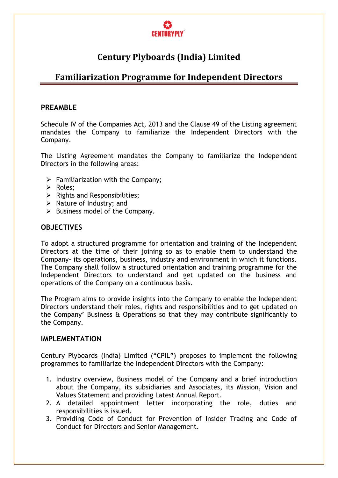

# **Century Plyboards (India) Limited**

## **Familiarization Programme for Independent Directors**

#### **PREAMBLE**

Schedule IV of the Companies Act, 2013 and the Clause 49 of the Listing agreement mandates the Company to familiarize the Independent Directors with the Company.

The Listing Agreement mandates the Company to familiarize the Independent Directors in the following areas:

- $\triangleright$  Familiarization with the Company;
- > Roles:
- $\triangleright$  Rights and Responsibilities;
- $\triangleright$  Nature of Industry; and
- $\triangleright$  Business model of the Company.

#### **OBJECTIVES**

To adopt a structured programme for orientation and training of the Independent Directors at the time of their joining so as to enable them to understand the Company- its operations, business, industry and environment in which it functions. The Company shall follow a structured orientation and training programme for the Independent Directors to understand and get updated on the business and operations of the Company on a continuous basis.

The Program aims to provide insights into the Company to enable the Independent Directors understand their roles, rights and responsibilities and to get updated on the Company' Business & Operations so that they may contribute significantly to the Company.

#### **IMPLEMENTATION**

Century Plyboards (India) Limited ("CPIL") proposes to implement the following programmes to familiarize the Independent Directors with the Company:

- 1. Industry overview, Business model of the Company and a brief introduction about the Company, its subsidiaries and Associates, its Mission, Vision and Values Statement and providing Latest Annual Report.
- 2. A detailed appointment letter incorporating the role, duties and responsibilities is issued.
- 3. Providing Code of Conduct for Prevention of Insider Trading and Code of Conduct for Directors and Senior Management.